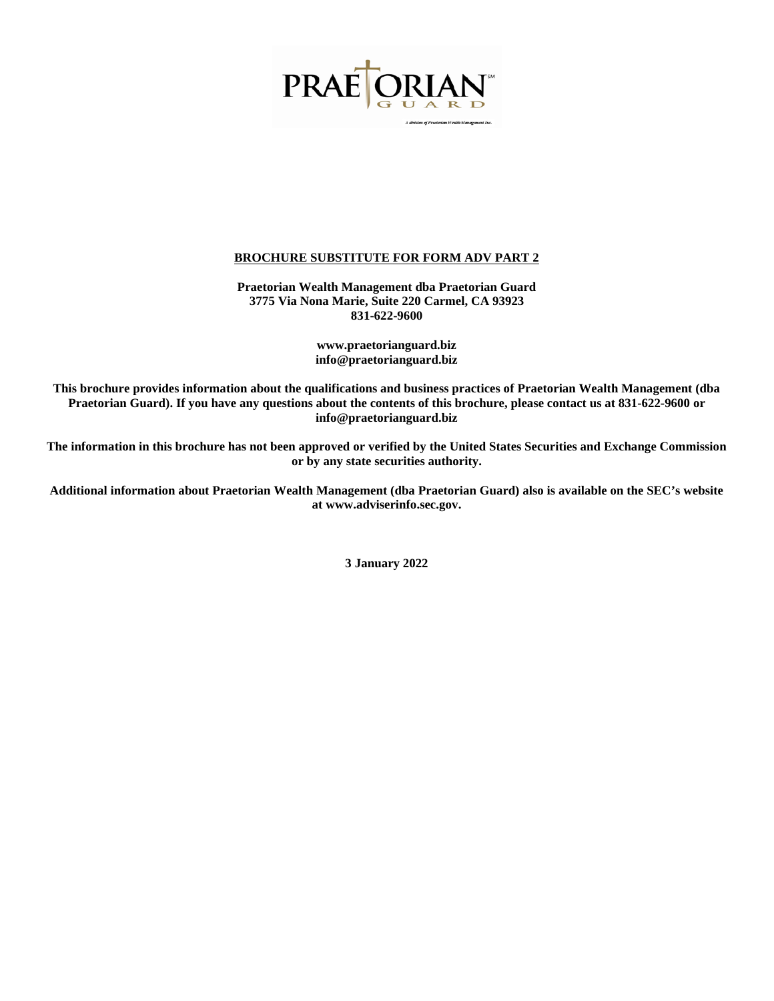

**Praetorian Wealth Management dba Praetorian Guard 3775 Via Nona Marie, Suite 220 Carmel, CA 93923 831-622-9600**

> **www.praetorianguard.biz info@praetorianguard.biz**

**This brochure provides information about the qualifications and business practices of Praetorian Wealth Management (dba Praetorian Guard). If you have any questions about the contents of this brochure, please contact us at 831-622-9600 or [info@praetorianguard.biz](mailto:info@praetorianguard.biz)**

**The information in this brochure has not been approved or verified by the United States Securities and Exchange Commission or by any state securities authority.**

**Additional information about Praetorian Wealth Management (dba Praetorian Guard) also is available on the SEC's website at www.adviserinfo.sec.gov.**

**3 January 2022**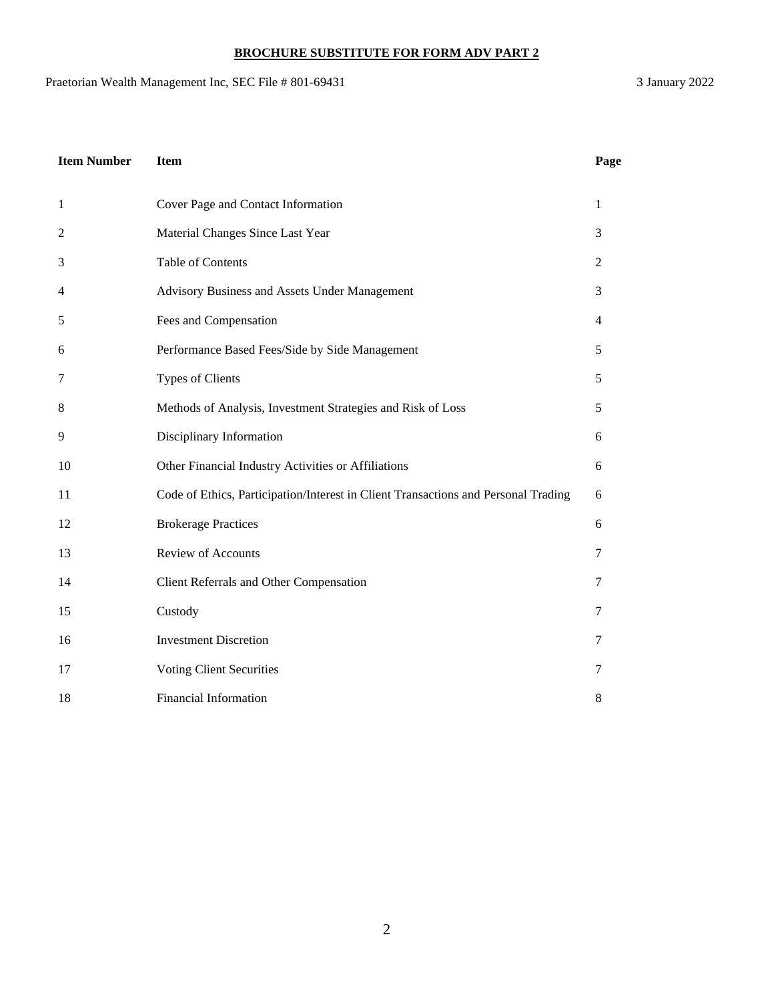Praetorian Wealth Management Inc, SEC File # 801-69431 3 January 2022

| <b>Item Number</b> | <b>Item</b>                                                                        | Page         |
|--------------------|------------------------------------------------------------------------------------|--------------|
| $\mathbf{1}$       | Cover Page and Contact Information                                                 | $\mathbf{1}$ |
| $\mathbf{2}$       | Material Changes Since Last Year                                                   | 3            |
| 3                  | <b>Table of Contents</b>                                                           | 2            |
| $\overline{4}$     | Advisory Business and Assets Under Management                                      | 3            |
| 5                  | Fees and Compensation                                                              | 4            |
| 6                  | Performance Based Fees/Side by Side Management                                     | 5            |
| 7                  | <b>Types of Clients</b>                                                            | 5            |
| 8                  | Methods of Analysis, Investment Strategies and Risk of Loss                        | 5            |
| 9                  | Disciplinary Information                                                           | 6            |
| 10                 | Other Financial Industry Activities or Affiliations                                | 6            |
| 11                 | Code of Ethics, Participation/Interest in Client Transactions and Personal Trading | 6            |
| 12                 | <b>Brokerage Practices</b>                                                         | 6            |
| 13                 | Review of Accounts                                                                 | $\tau$       |
| 14                 | Client Referrals and Other Compensation                                            | 7            |
| 15                 | Custody                                                                            | 7            |
| 16                 | <b>Investment Discretion</b>                                                       | 7            |
| 17                 | <b>Voting Client Securities</b>                                                    | 7            |
| 18                 | <b>Financial Information</b>                                                       | 8            |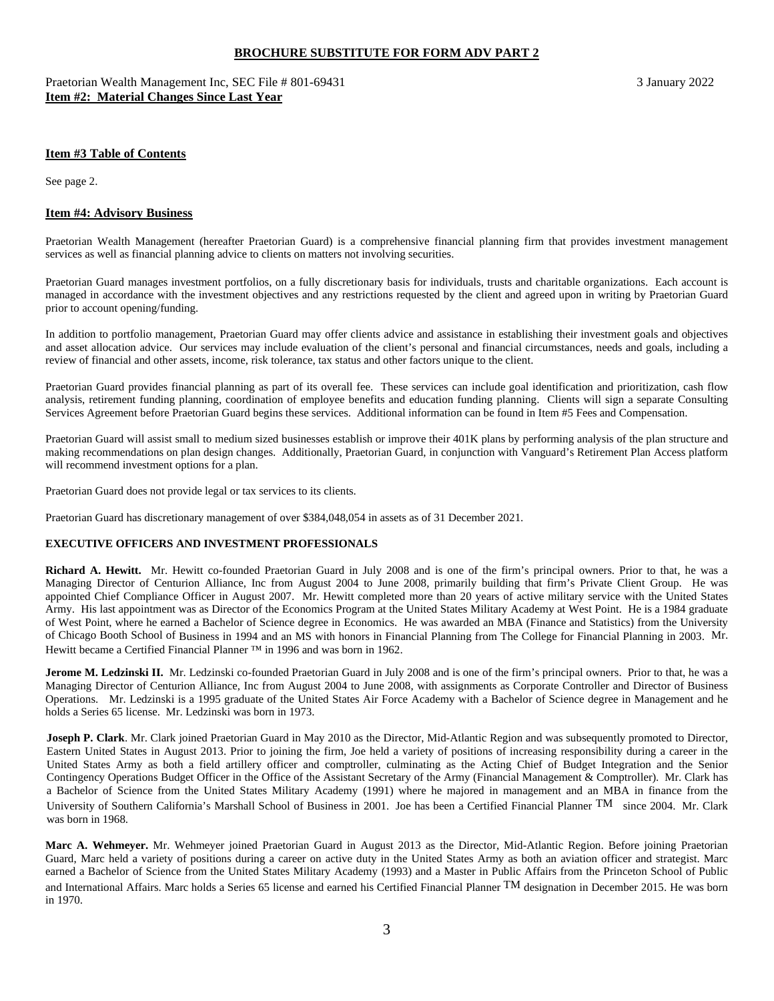Praetorian Wealth Management Inc, SEC File # 801-69431 3 January 2022 **Item #2: Material Changes Since Last Year**

#### **Item #3 Table of Contents**

See page 2.

#### **Item #4: Advisory Business**

Praetorian Wealth Management (hereafter Praetorian Guard) is a comprehensive financial planning firm that provides investment management services as well as financial planning advice to clients on matters not involving securities.

Praetorian Guard manages investment portfolios, on a fully discretionary basis for individuals, trusts and charitable organizations. Each account is managed in accordance with the investment objectives and any restrictions requested by the client and agreed upon in writing by Praetorian Guard prior to account opening/funding.

In addition to portfolio management, Praetorian Guard may offer clients advice and assistance in establishing their investment goals and objectives and asset allocation advice. Our services may include evaluation of the client's personal and financial circumstances, needs and goals, including a review of financial and other assets, income, risk tolerance, tax status and other factors unique to the client.

Praetorian Guard provides financial planning as part of its overall fee. These services can include goal identification and prioritization, cash flow analysis, retirement funding planning, coordination of employee benefits and education funding planning. Clients will sign a separate Consulting Services Agreement before Praetorian Guard begins these services. Additional information can be found in Item #5 Fees and Compensation.

Praetorian Guard will assist small to medium sized businesses establish or improve their 401K plans by performing analysis of the plan structure and making recommendations on plan design changes. Additionally, Praetorian Guard, in conjunction with Vanguard's Retirement Plan Access platform will recommend investment options for a plan.

Praetorian Guard does not provide legal or tax services to its clients.

Praetorian Guard has discretionary management of over \$384,048,054 in assets as of 31 December 2021.

#### **EXECUTIVE OFFICERS AND INVESTMENT PROFESSIONALS**

**Richard A. Hewitt.** Mr. Hewitt co-founded Praetorian Guard in July 2008 and is one of the firm's principal owners. Prior to that, he was a Managing Director of Centurion Alliance, Inc from August 2004 to June 2008, primarily building that firm's Private Client Group. He was appointed Chief Compliance Officer in August 2007. Mr. Hewitt completed more than 20 years of active military service with the United States Army. His last appointment was as Director of the Economics Program at the United States Military Academy at West Point. He is a 1984 graduate of West Point, where he earned a Bachelor of Science degree in Economics. He was awarded an MBA (Finance and Statistics) from the University of Chicago Booth School of Business in 1994 and an MS with honors in Financial Planning from The College for Financial Planning in 2003. Mr. Hewitt became a Certified Financial Planner ™ in 1996 and was born in 1962.

Jerome M. Ledzinski II. Mr. Ledzinski co-founded Praetorian Guard in July 2008 and is one of the firm's principal owners. Prior to that, he was a Managing Director of Centurion Alliance, Inc from August 2004 to June 2008, with assignments as Corporate Controller and Director of Business Operations. Mr. Ledzinski is a 1995 graduate of the United States Air Force Academy with a Bachelor of Science degree in Management and he holds a Series 65 license. Mr. Ledzinski was born in 1973.

**Joseph P. Clark**. Mr. Clark joined Praetorian Guard in May 2010 as the Director, Mid-Atlantic Region and was subsequently promoted to Director, Eastern United States in August 2013. Prior to joining the firm, Joe held a variety of positions of increasing responsibility during a career in the United States Army as both a field artillery officer and comptroller, culminating as the Acting Chief of Budget Integration and the Senior Contingency Operations Budget Officer in the Office of the Assistant Secretary of the Army (Financial Management & Comptroller). Mr. Clark has a Bachelor of Science from the United States Military Academy (1991) where he majored in management and an MBA in finance from the University of Southern California's Marshall School of Business in 2001. Joe has been a Certified Financial Planner TM since 2004. Mr. Clark was born in 1968.

**Marc A. Wehmeyer.** Mr. Wehmeyer joined Praetorian Guard in August 2013 as the Director, Mid-Atlantic Region. Before joining Praetorian Guard, Marc held a variety of positions during a career on active duty in the United States Army as both an aviation officer and strategist. Marc earned a Bachelor of Science from the United States Military Academy (1993) and a Master in Public Affairs from the Princeton School of Public and International Affairs. Marc holds a Series 65 license and earned his Certified Financial Planner TM designation in December 2015. He was born in 1970.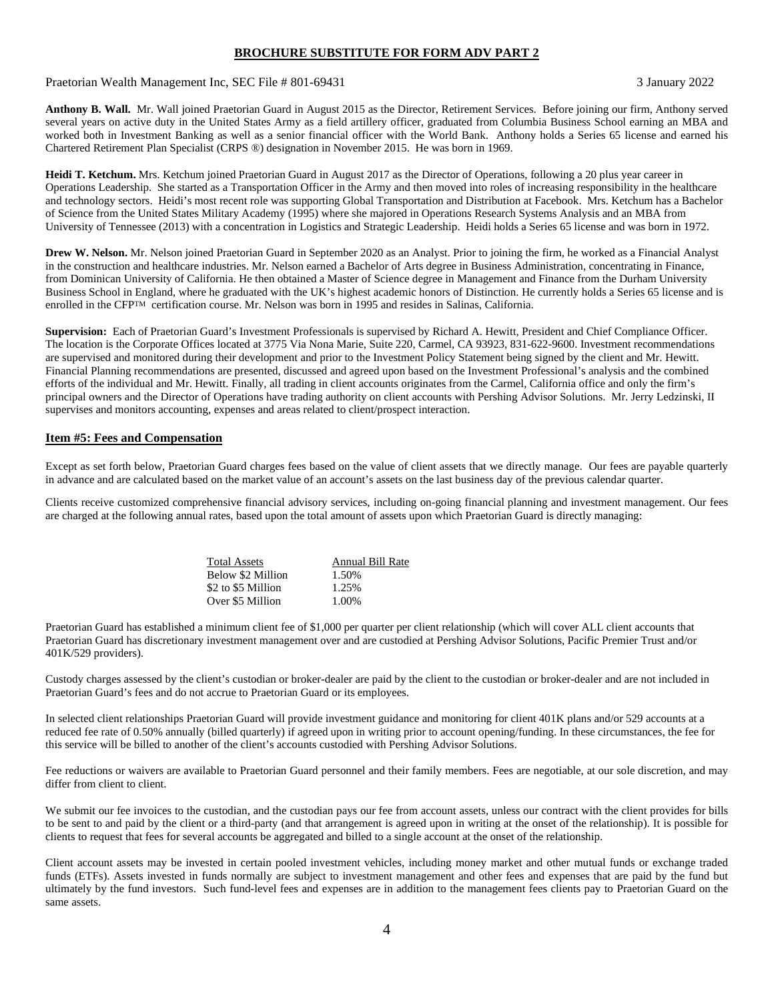Praetorian Wealth Management Inc, SEC File # 801-69431 3 January 2022

**Anthony B. Wall.** Mr. Wall joined Praetorian Guard in August 2015 as the Director, Retirement Services. Before joining our firm, Anthony served several years on active duty in the United States Army as a field artillery officer, graduated from Columbia Business School earning an MBA and worked both in Investment Banking as well as a senior financial officer with the World Bank. Anthony holds a Series 65 license and earned his Chartered Retirement Plan Specialist (CRPS ®) designation in November 2015. He was born in 1969.

**Heidi T. Ketchum.** Mrs. Ketchum joined Praetorian Guard in August 2017 as the Director of Operations, following a 20 plus year career in Operations Leadership. She started as a Transportation Officer in the Army and then moved into roles of increasing responsibility in the healthcare and technology sectors. Heidi's most recent role was supporting Global Transportation and Distribution at Facebook. Mrs. Ketchum has a Bachelor of Science from the United States Military Academy (1995) where she majored in Operations Research Systems Analysis and an MBA from University of Tennessee (2013) with a concentration in Logistics and Strategic Leadership. Heidi holds a Series 65 license and was born in 1972.

**Drew W. Nelson.** Mr. Nelson joined Praetorian Guard in September 2020 as an Analyst. Prior to joining the firm, he worked as a Financial Analyst in the construction and healthcare industries. Mr. Nelson earned a Bachelor of Arts degree in Business Administration, concentrating in Finance, from Dominican University of California. He then obtained a Master of Science degree in Management and Finance from the Durham University Business School in England, where he graduated with the UK's highest academic honors of Distinction. He currently holds a Series 65 license and is enrolled in the CFPTM certification course. Mr. Nelson was born in 1995 and resides in Salinas, California.

**Supervision:** Each of Praetorian Guard's Investment Professionals is supervised by Richard A. Hewitt, President and Chief Compliance Officer. The location is the Corporate Offices located at 3775 Via Nona Marie, Suite 220, Carmel, CA 93923, 831-622-9600. Investment recommendations are supervised and monitored during their development and prior to the Investment Policy Statement being signed by the client and Mr. Hewitt. Financial Planning recommendations are presented, discussed and agreed upon based on the Investment Professional's analysis and the combined efforts of the individual and Mr. Hewitt. Finally, all trading in client accounts originates from the Carmel, California office and only the firm's principal owners and the Director of Operations have trading authority on client accounts with Pershing Advisor Solutions. Mr. Jerry Ledzinski, II supervises and monitors accounting, expenses and areas related to client/prospect interaction.

## **Item #5: Fees and Compensation**

Except as set forth below, Praetorian Guard charges fees based on the value of client assets that we directly manage. Our fees are payable quarterly in advance and are calculated based on the market value of an account's assets on the last business day of the previous calendar quarter.

Clients receive customized comprehensive financial advisory services, including on-going financial planning and investment management. Our fees are charged at the following annual rates, based upon the total amount of assets upon which Praetorian Guard is directly managing:

| Annual Bill Rate |
|------------------|
| 1.50%            |
| 1.25%            |
| 1.00%            |
|                  |

Praetorian Guard has established a minimum client fee of \$1,000 per quarter per client relationship (which will cover ALL client accounts that Praetorian Guard has discretionary investment management over and are custodied at Pershing Advisor Solutions, Pacific Premier Trust and/or 401K/529 providers).

Custody charges assessed by the client's custodian or broker-dealer are paid by the client to the custodian or broker-dealer and are not included in Praetorian Guard's fees and do not accrue to Praetorian Guard or its employees.

In selected client relationships Praetorian Guard will provide investment guidance and monitoring for client 401K plans and/or 529 accounts at a reduced fee rate of 0.50% annually (billed quarterly) if agreed upon in writing prior to account opening/funding. In these circumstances, the fee for this service will be billed to another of the client's accounts custodied with Pershing Advisor Solutions.

Fee reductions or waivers are available to Praetorian Guard personnel and their family members. Fees are negotiable, at our sole discretion, and may differ from client to client.

We submit our fee invoices to the custodian, and the custodian pays our fee from account assets, unless our contract with the client provides for bills to be sent to and paid by the client or a third-party (and that arrangement is agreed upon in writing at the onset of the relationship). It is possible for clients to request that fees for several accounts be aggregated and billed to a single account at the onset of the relationship.

Client account assets may be invested in certain pooled investment vehicles, including money market and other mutual funds or exchange traded funds (ETFs). Assets invested in funds normally are subject to investment management and other fees and expenses that are paid by the fund but ultimately by the fund investors. Such fund-level fees and expenses are in addition to the management fees clients pay to Praetorian Guard on the same assets.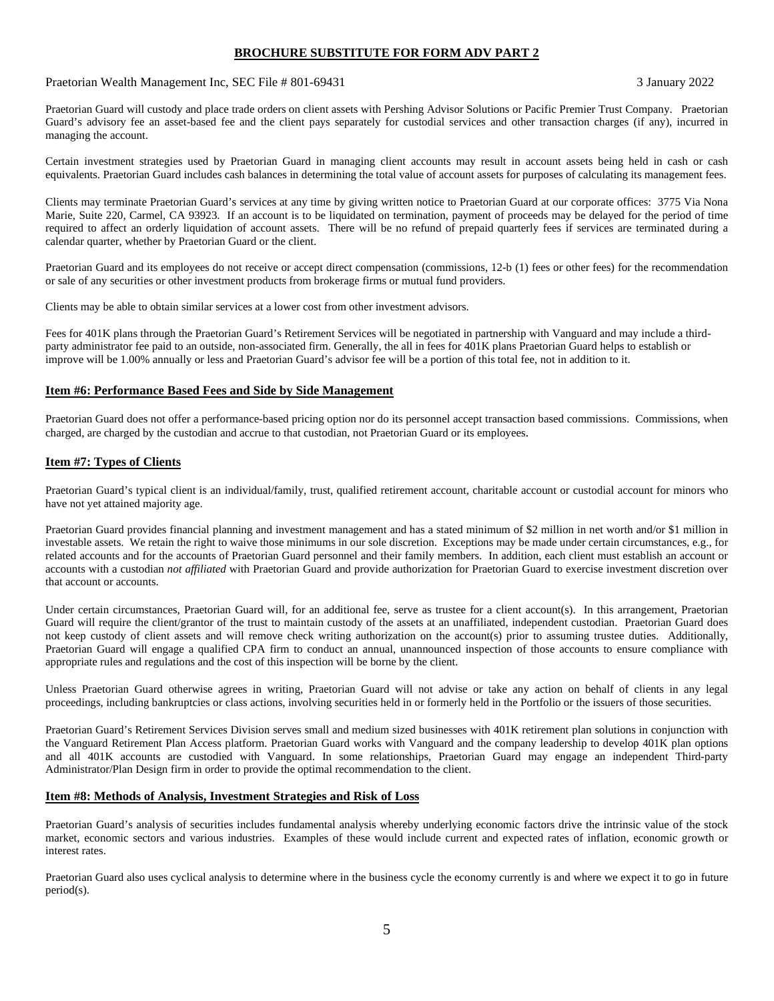Praetorian Wealth Management Inc, SEC File # 801-69431 3 January 2022

Praetorian Guard will custody and place trade orders on client assets with Pershing Advisor Solutions or Pacific Premier Trust Company. Praetorian Guard's advisory fee an asset-based fee and the client pays separately for custodial services and other transaction charges (if any), incurred in managing the account.

Certain investment strategies used by Praetorian Guard in managing client accounts may result in account assets being held in cash or cash equivalents. Praetorian Guard includes cash balances in determining the total value of account assets for purposes of calculating its management fees.

Clients may terminate Praetorian Guard's services at any time by giving written notice to Praetorian Guard at our corporate offices: 3775 Via Nona Marie, Suite 220, Carmel, CA 93923. If an account is to be liquidated on termination, payment of proceeds may be delayed for the period of time required to affect an orderly liquidation of account assets. There will be no refund of prepaid quarterly fees if services are terminated during a calendar quarter, whether by Praetorian Guard or the client.

Praetorian Guard and its employees do not receive or accept direct compensation (commissions, 12-b (1) fees or other fees) for the recommendation or sale of any securities or other investment products from brokerage firms or mutual fund providers.

Clients may be able to obtain similar services at a lower cost from other investment advisors.

Fees for 401K plans through the Praetorian Guard's Retirement Services will be negotiated in partnership with Vanguard and may include a thirdparty administrator fee paid to an outside, non-associated firm. Generally, the all in fees for 401K plans Praetorian Guard helps to establish or improve will be 1.00% annually or less and Praetorian Guard's advisor fee will be a portion of this total fee, not in addition to it.

### **Item #6: Performance Based Fees and Side by Side Management**

Praetorian Guard does not offer a performance-based pricing option nor do its personnel accept transaction based commissions. Commissions, when charged, are charged by the custodian and accrue to that custodian, not Praetorian Guard or its employees.

## **Item #7: Types of Clients**

Praetorian Guard's typical client is an individual/family, trust, qualified retirement account, charitable account or custodial account for minors who have not yet attained majority age.

Praetorian Guard provides financial planning and investment management and has a stated minimum of \$2 million in net worth and/or \$1 million in investable assets. We retain the right to waive those minimums in our sole discretion. Exceptions may be made under certain circumstances, e.g., for related accounts and for the accounts of Praetorian Guard personnel and their family members. In addition, each client must establish an account or accounts with a custodian *not affiliated* with Praetorian Guard and provide authorization for Praetorian Guard to exercise investment discretion over that account or accounts.

Under certain circumstances, Praetorian Guard will, for an additional fee, serve as trustee for a client account(s). In this arrangement, Praetorian Guard will require the client/grantor of the trust to maintain custody of the assets at an unaffiliated, independent custodian. Praetorian Guard does not keep custody of client assets and will remove check writing authorization on the account(s) prior to assuming trustee duties. Additionally, Praetorian Guard will engage a qualified CPA firm to conduct an annual, unannounced inspection of those accounts to ensure compliance with appropriate rules and regulations and the cost of this inspection will be borne by the client.

Unless Praetorian Guard otherwise agrees in writing, Praetorian Guard will not advise or take any action on behalf of clients in any legal proceedings, including bankruptcies or class actions, involving securities held in or formerly held in the Portfolio or the issuers of those securities.

Praetorian Guard's Retirement Services Division serves small and medium sized businesses with 401K retirement plan solutions in conjunction with the Vanguard Retirement Plan Access platform. Praetorian Guard works with Vanguard and the company leadership to develop 401K plan options and all 401K accounts are custodied with Vanguard. In some relationships, Praetorian Guard may engage an independent Third-party Administrator/Plan Design firm in order to provide the optimal recommendation to the client.

### **Item #8: Methods of Analysis, Investment Strategies and Risk of Loss**

Praetorian Guard's analysis of securities includes fundamental analysis whereby underlying economic factors drive the intrinsic value of the stock market, economic sectors and various industries. Examples of these would include current and expected rates of inflation, economic growth or interest rates.

Praetorian Guard also uses cyclical analysis to determine where in the business cycle the economy currently is and where we expect it to go in future period(s).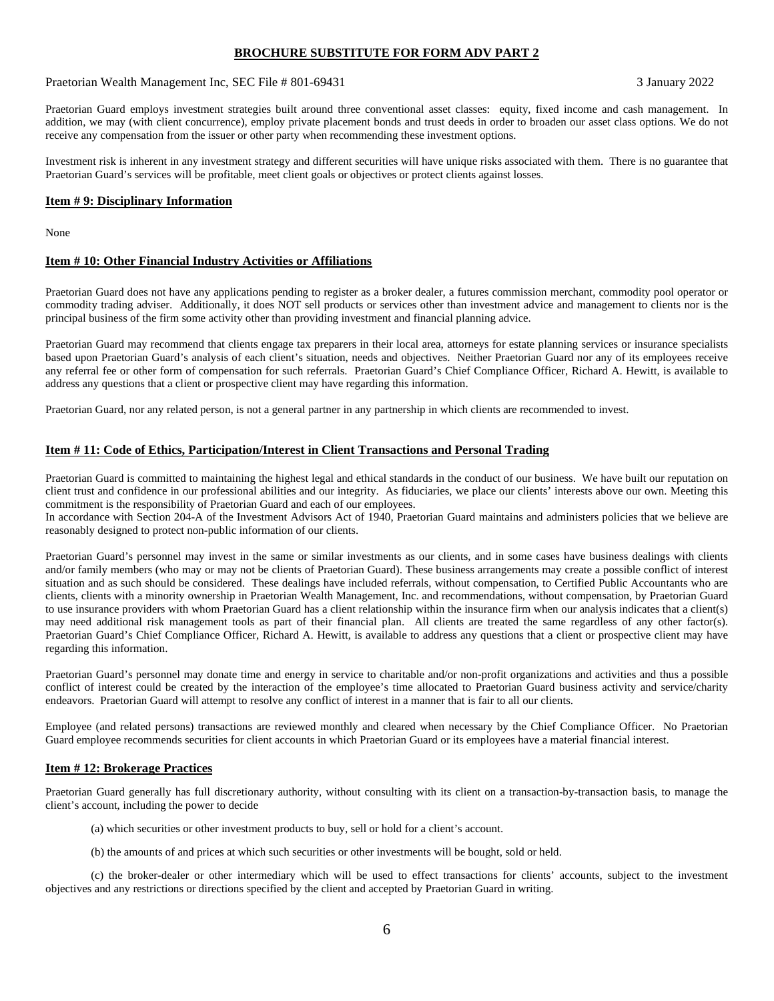Praetorian Wealth Management Inc, SEC File # 801-69431 3 January 2022

Praetorian Guard employs investment strategies built around three conventional asset classes: equity, fixed income and cash management. In addition, we may (with client concurrence), employ private placement bonds and trust deeds in order to broaden our asset class options. We do not receive any compensation from the issuer or other party when recommending these investment options.

Investment risk is inherent in any investment strategy and different securities will have unique risks associated with them. There is no guarantee that Praetorian Guard's services will be profitable, meet client goals or objectives or protect clients against losses.

#### **Item # 9: Disciplinary Information**

None

#### **Item # 10: Other Financial Industry Activities or Affiliations**

Praetorian Guard does not have any applications pending to register as a broker dealer, a futures commission merchant, commodity pool operator or commodity trading adviser. Additionally, it does NOT sell products or services other than investment advice and management to clients nor is the principal business of the firm some activity other than providing investment and financial planning advice.

Praetorian Guard may recommend that clients engage tax preparers in their local area, attorneys for estate planning services or insurance specialists based upon Praetorian Guard's analysis of each client's situation, needs and objectives. Neither Praetorian Guard nor any of its employees receive any referral fee or other form of compensation for such referrals. Praetorian Guard's Chief Compliance Officer, Richard A. Hewitt, is available to address any questions that a client or prospective client may have regarding this information.

Praetorian Guard, nor any related person, is not a general partner in any partnership in which clients are recommended to invest.

#### **Item # 11: Code of Ethics, Participation/Interest in Client Transactions and Personal Trading**

Praetorian Guard is committed to maintaining the highest legal and ethical standards in the conduct of our business. We have built our reputation on client trust and confidence in our professional abilities and our integrity. As fiduciaries, we place our clients' interests above our own. Meeting this commitment is the responsibility of Praetorian Guard and each of our employees.

In accordance with Section 204-A of the Investment Advisors Act of 1940, Praetorian Guard maintains and administers policies that we believe are reasonably designed to protect non-public information of our clients.

Praetorian Guard's personnel may invest in the same or similar investments as our clients, and in some cases have business dealings with clients and/or family members (who may or may not be clients of Praetorian Guard). These business arrangements may create a possible conflict of interest situation and as such should be considered. These dealings have included referrals, without compensation, to Certified Public Accountants who are clients, clients with a minority ownership in Praetorian Wealth Management, Inc. and recommendations, without compensation, by Praetorian Guard to use insurance providers with whom Praetorian Guard has a client relationship within the insurance firm when our analysis indicates that a client(s) may need additional risk management tools as part of their financial plan. All clients are treated the same regardless of any other factor(s). Praetorian Guard's Chief Compliance Officer, Richard A. Hewitt, is available to address any questions that a client or prospective client may have regarding this information.

Praetorian Guard's personnel may donate time and energy in service to charitable and/or non-profit organizations and activities and thus a possible conflict of interest could be created by the interaction of the employee's time allocated to Praetorian Guard business activity and service/charity endeavors. Praetorian Guard will attempt to resolve any conflict of interest in a manner that is fair to all our clients.

Employee (and related persons) transactions are reviewed monthly and cleared when necessary by the Chief Compliance Officer. No Praetorian Guard employee recommends securities for client accounts in which Praetorian Guard or its employees have a material financial interest.

#### **Item # 12: Brokerage Practices**

Praetorian Guard generally has full discretionary authority, without consulting with its client on a transaction-by-transaction basis, to manage the client's account, including the power to decide

- (a) which securities or other investment products to buy, sell or hold for a client's account.
- (b) the amounts of and prices at which such securities or other investments will be bought, sold or held.

(c) the broker-dealer or other intermediary which will be used to effect transactions for clients' accounts, subject to the investment objectives and any restrictions or directions specified by the client and accepted by Praetorian Guard in writing.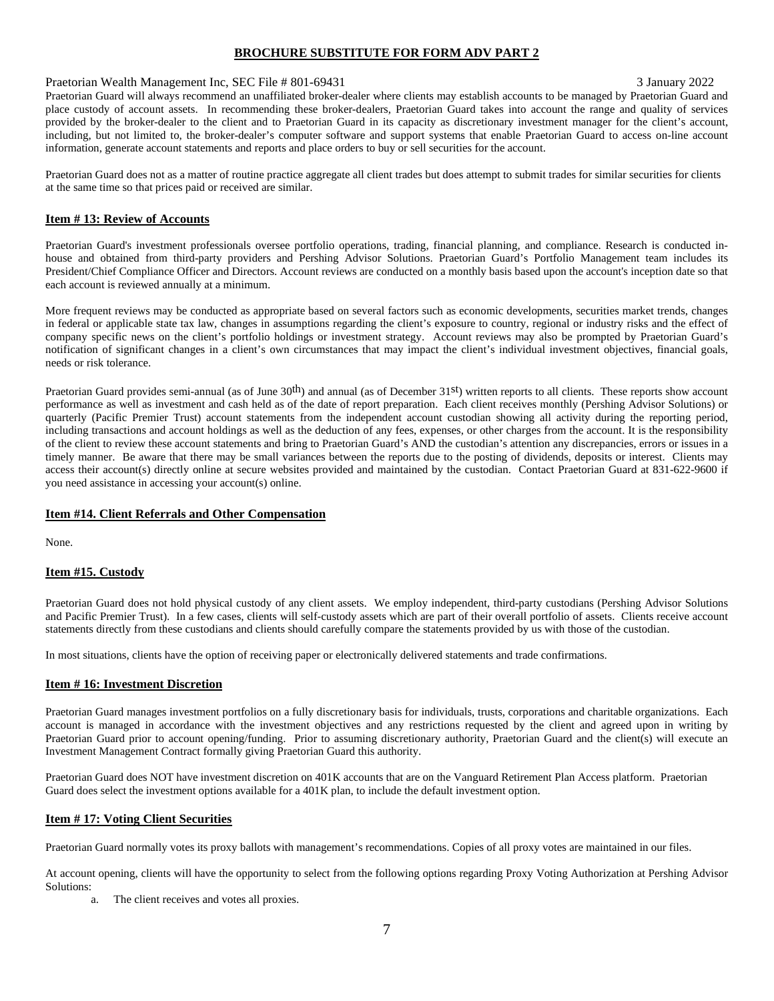#### Praetorian Wealth Management Inc, SEC File # 801-69431 3 January 2022

Praetorian Guard will always recommend an unaffiliated broker-dealer where clients may establish accounts to be managed by Praetorian Guard and place custody of account assets. In recommending these broker-dealers, Praetorian Guard takes into account the range and quality of services provided by the broker-dealer to the client and to Praetorian Guard in its capacity as discretionary investment manager for the client's account, including, but not limited to, the broker-dealer's computer software and support systems that enable Praetorian Guard to access on-line account information, generate account statements and reports and place orders to buy or sell securities for the account.

Praetorian Guard does not as a matter of routine practice aggregate all client trades but does attempt to submit trades for similar securities for clients at the same time so that prices paid or received are similar.

## **Item # 13: Review of Accounts**

Praetorian Guard's investment professionals oversee portfolio operations, trading, financial planning, and compliance. Research is conducted inhouse and obtained from third-party providers and Pershing Advisor Solutions. Praetorian Guard's Portfolio Management team includes its President/Chief Compliance Officer and Directors. Account reviews are conducted on a monthly basis based upon the account's inception date so that each account is reviewed annually at a minimum.

More frequent reviews may be conducted as appropriate based on several factors such as economic developments, securities market trends, changes in federal or applicable state tax law, changes in assumptions regarding the client's exposure to country, regional or industry risks and the effect of company specific news on the client's portfolio holdings or investment strategy. Account reviews may also be prompted by Praetorian Guard's notification of significant changes in a client's own circumstances that may impact the client's individual investment objectives, financial goals, needs or risk tolerance.

Praetorian Guard provides semi-annual (as of June  $30<sup>th</sup>$ ) and annual (as of December  $31<sup>st</sup>$ ) written reports to all clients. These reports show account performance as well as investment and cash held as of the date of report preparation. Each client receives monthly (Pershing Advisor Solutions) or quarterly (Pacific Premier Trust) account statements from the independent account custodian showing all activity during the reporting period, including transactions and account holdings as well as the deduction of any fees, expenses, or other charges from the account. It is the responsibility of the client to review these account statements and bring to Praetorian Guard's AND the custodian's attention any discrepancies, errors or issues in a timely manner. Be aware that there may be small variances between the reports due to the posting of dividends, deposits or interest. Clients may access their account(s) directly online at secure websites provided and maintained by the custodian. Contact Praetorian Guard at 831-622-9600 if you need assistance in accessing your account(s) online.

### **Item #14. Client Referrals and Other Compensation**

None.

### **Item #15. Custody**

Praetorian Guard does not hold physical custody of any client assets. We employ independent, third-party custodians (Pershing Advisor Solutions and Pacific Premier Trust). In a few cases, clients will self-custody assets which are part of their overall portfolio of assets. Clients receive account statements directly from these custodians and clients should carefully compare the statements provided by us with those of the custodian.

In most situations, clients have the option of receiving paper or electronically delivered statements and trade confirmations.

### **Item # 16: Investment Discretion**

Praetorian Guard manages investment portfolios on a fully discretionary basis for individuals, trusts, corporations and charitable organizations. Each account is managed in accordance with the investment objectives and any restrictions requested by the client and agreed upon in writing by Praetorian Guard prior to account opening/funding. Prior to assuming discretionary authority, Praetorian Guard and the client(s) will execute an Investment Management Contract formally giving Praetorian Guard this authority.

Praetorian Guard does NOT have investment discretion on 401K accounts that are on the Vanguard Retirement Plan Access platform. Praetorian Guard does select the investment options available for a 401K plan, to include the default investment option.

### **Item # 17: Voting Client Securities**

Praetorian Guard normally votes its proxy ballots with management's recommendations. Copies of all proxy votes are maintained in our files.

At account opening, clients will have the opportunity to select from the following options regarding Proxy Voting Authorization at Pershing Advisor Solutions:

The client receives and votes all proxies.